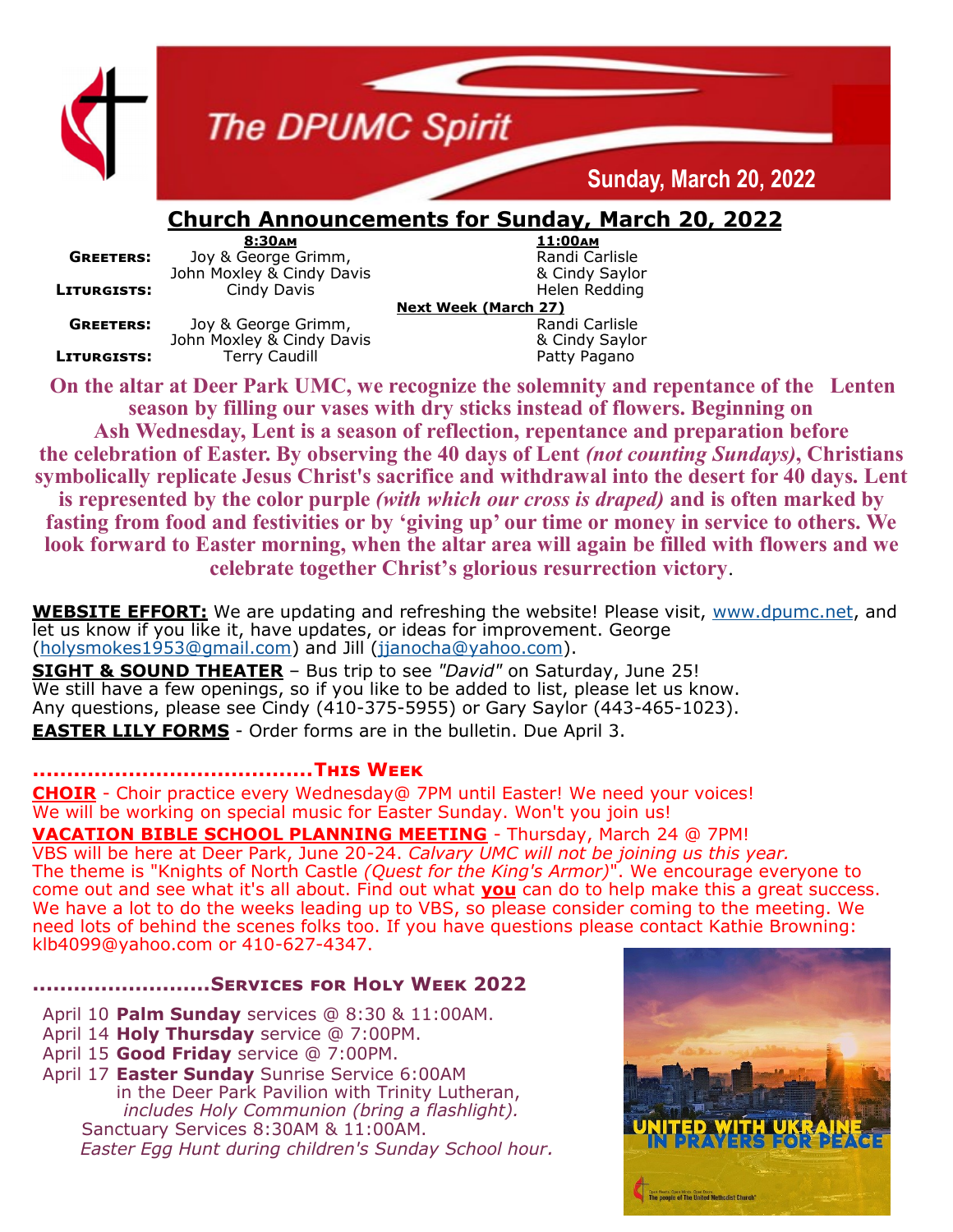

## **The DPUMC Spirit**

## **Sunday, March 20, 2022**

### **Church Announcements for Sunday, March 20, 2022**

**GREETERS:** Joy & George Grimm, The Randi Carlisle Randi Carlisle John Moxley & Cindy Saylor John Moxley & Cindy Davis **LITURGISTS:** Cindy Davis **Communist Communist Communist Communist Communist Communist Communist Communist Communist Communist Communist Communist Communist Communist Communist Communist Communist Communist Communist Commu** 

**GREETERS:** Joy & George Grimm, John Moxley & Cindy Davis & Cindy Saylor **LITURGISTS:** Terry Caudill **Terry Caudill** Patty Pagano

**8:30am 11:00am**

**Next Week (March 27)**

**On the altar at Deer Park UMC, we recognize the solemnity and repentance of the Lenten season by filling our vases with dry sticks instead of flowers. Beginning on** 

**Ash Wednesday, Lent is a season of reflection, repentance and preparation before the celebration of Easter. By observing the 40 days of Lent** *(not counting Sundays)***, Christians symbolically replicate Jesus Christ's sacrifice and withdrawal into the desert for 40 days. Lent is represented by the color purple** *(with which our cross is draped)* **and is often marked by fasting from food and festivities or by 'giving up' our time or money in service to others. We look forward to Easter morning, when the altar area will again be filled with flowers and we celebrate together Christ's glorious resurrection victory**.

**WEBSITE EFFORT:** We are updating and refreshing the website! Please visit, [www.dpumc.net,](http://www.dpumc.net) and let us know if you like it, have updates, or ideas for improvement. George ([holysmokes1953@gmail.com\)](mailto:holysmokes1953@gmail.com) and Jill [\(jjanocha@yahoo.com\).](mailto:jjanocha@yahoo.com)

**SIGHT & SOUND THEATER** – Bus trip to see *"David"* on Saturday, June 25! We still have a few openings, so if you like to be added to list, please let us know. Any questions, please see Cindy (410-375-5955) or Gary Saylor (443-465-1023). **EASTER LILY FORMS** - Order forms are in the bulletin. Due April 3.

#### **.........................................This Week**

**CHOIR** - Choir practice every Wednesday@ 7PM until Easter! We need your voices! We will be working on special music for Easter Sunday. Won't you join us!

**VACATION BIBLE SCHOOL PLANNING MEETING** - Thursday, March 24 @ 7PM! VBS will be here at Deer Park, June 20-24. *Calvary UMC will not be joining us this year.*  The theme is "Knights of North Castle *(Quest for the King's Armor)*". We encourage everyone to come out and see what it's all about. Find out what **you** can do to help make this a great success. We have a lot to do the weeks leading up to VBS, so please consider coming to the meeting. We need lots of behind the scenes folks too. If you have questions please contact Kathie Browning: klb4099@yahoo.com or 410-627-4347.

#### **..........................Services for Holy Week 2022**

- April 10 **Palm Sunday** services @ 8:30 & 11:00AM.
- April 14 **Holy Thursday** service @ 7:00PM.
- April 15 **Good Friday** service @ 7:00PM.

April 17 **Easter Sunday** Sunrise Service 6:00AM in the Deer Park Pavilion with Trinity Lutheran, *includes Holy Communion (bring a flashlight).* Sanctuary Services 8:30AM & 11:00AM. *Easter Egg Hunt during children's Sunday School hour.*

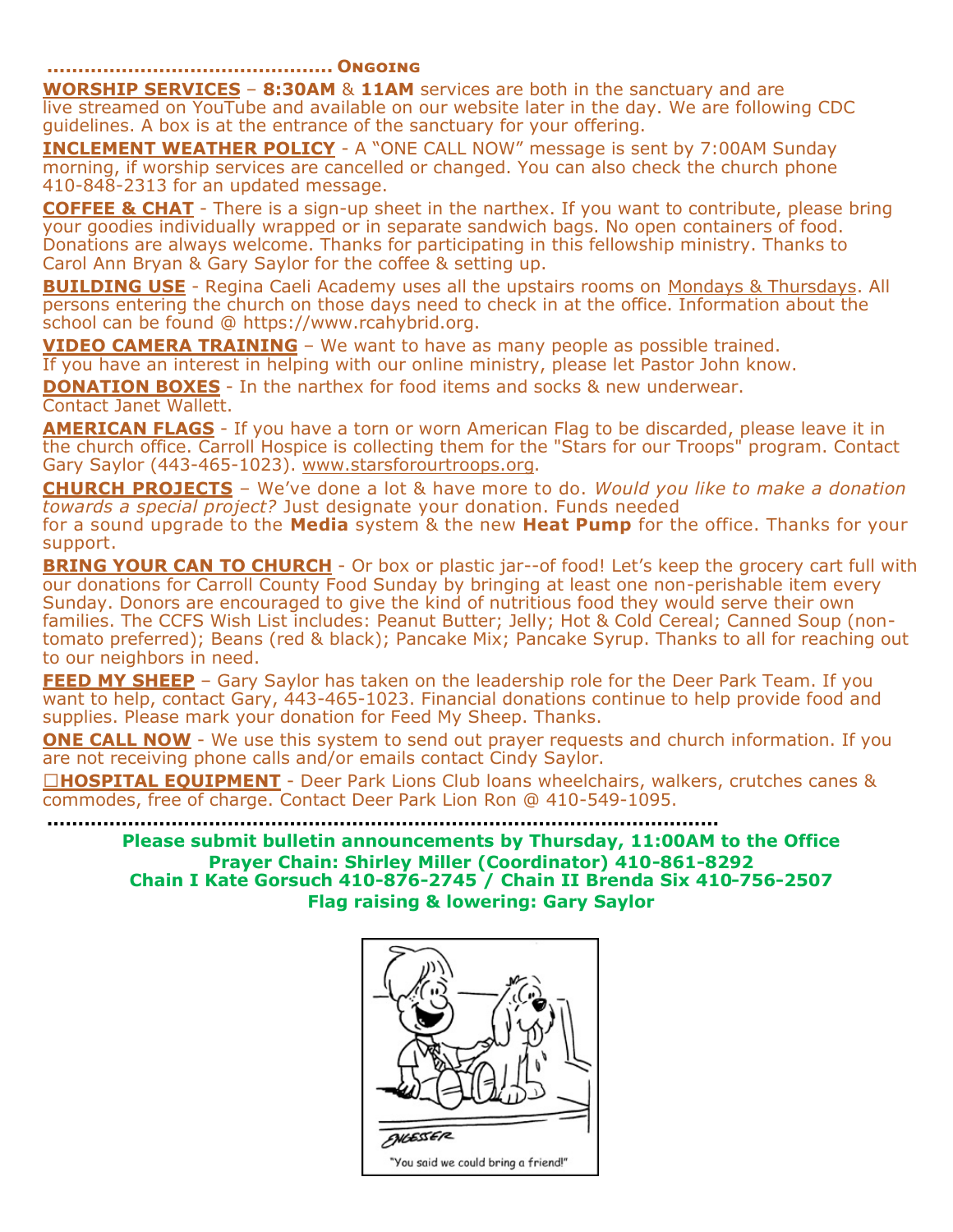**.............................................. Ongoing**

**WORSHIP SERVICES** – **8:30AM** & **11AM** services are both in the sanctuary and are live streamed on YouTube and available on our website later in the day. We are following CDC guidelines. A box is at the entrance of the sanctuary for your offering.

**INCLEMENT WEATHER POLICY** - A "ONE CALL NOW" message is sent by 7:00AM Sunday morning, if worship services are cancelled or changed. You can also check the church phone 410-848-2313 for an updated message.

**COFFEE & CHAT** - There is a sign-up sheet in the narthex. If you want to contribute, please bring your goodies individually wrapped or in separate sandwich bags. No open containers of food. Donations are always welcome. Thanks for participating in this fellowship ministry. Thanks to Carol Ann Bryan & Gary Saylor for the coffee & setting up.

**BUILDING USE** - Regina Caeli Academy uses all the upstairs rooms on Mondays & Thursdays. All persons entering the church on those days need to check in at the office. Information about the school can be found @ https://www.rcahybrid.org.

**VIDEO CAMERA TRAINING** – We want to have as many people as possible trained.

If you have an interest in helping with our online ministry, please let Pastor John know.

**DONATION BOXES** - In the narthex for food items and socks & new underwear. Contact Janet Wallett.

**AMERICAN FLAGS** - If you have a torn or worn American Flag to be discarded, please leave it in the church office. Carroll Hospice is collecting them for the "Stars for our Troops" program. Contact Gary Saylor (443-465-1023). www.starsforourtroops.org.

**CHURCH PROJECTS** – We've done a lot & have more to do. *Would you like to make a donation towards a special project?* Just designate your donation. Funds needed for a sound upgrade to the **Media** system & the new **Heat Pump** for the office. Thanks for your support.

**BRING YOUR CAN TO CHURCH** - Or box or plastic jar--of food! Let's keep the grocery cart full with our donations for Carroll County Food Sunday by bringing at least one non-perishable item every Sunday. Donors are encouraged to give the kind of nutritious food they would serve their own families. The CCFS Wish List includes: Peanut Butter; Jelly; Hot & Cold Cereal; Canned Soup (nontomato preferred); Beans (red & black); Pancake Mix; Pancake Syrup. Thanks to all for reaching out to our neighbors in need.

**FEED MY SHEEP** - Gary Saylor has taken on the leadership role for the Deer Park Team. If you want to help, contact Gary, 443-465-1023. Financial donations continue to help provide food and supplies. Please mark your donation for Feed My Sheep. Thanks.

**ONE CALL NOW** - We use this system to send out prayer requests and church information. If you are not receiving phone calls and/or emails contact Cindy Saylor.

□HOSPITAL EQUIPMENT - Deer Park Lions Club loans wheelchairs, walkers, crutches canes & commodes, free of charge. Contact Deer Park Lion Ron @ 410-549-1095.

**............................................................................................................**

**Please submit bulletin announcements by Thursday, 11:00AM to the Office Prayer Chain: Shirley Miller (Coordinator) 410-861-8292 Chain I Kate Gorsuch 410-876-2745 / Chain II Brenda Six 410-756-2507 Flag raising & lowering: Gary Saylor**